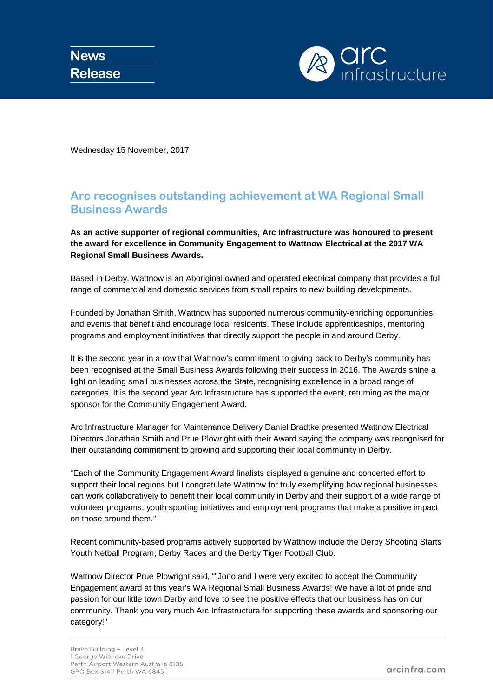

Wednesday 15 November, 2017

## **Arc recognises outstanding achievement at WA Regional Small Business Awards**

**As an active supporter of regional communities, Arc Infrastructure was honoured to present the award for excellence in Community Engagement to Wattnow Electrical at the 2017 WA Regional Small Business Awards.** 

Based in Derby, Wattnow is an Aboriginal owned and operated electrical company that provides a full range of commercial and domestic services from small repairs to new building developments.

Founded by Jonathan Smith, Wattnow has supported numerous community-enriching opportunities and events that benefit and encourage local residents. These include apprenticeships, mentoring programs and employment initiatives that directly support the people in and around Derby.

It is the second year in a row that Wattnow's commitment to giving back to Derby's community has been recognised at the Small Business Awards following their success in 2016. The Awards shine a light on leading small businesses across the State, recognising excellence in a broad range of categories. It is the second year Arc Infrastructure has supported the event, returning as the major sponsor for the Community Engagement Award.

Arc Infrastructure Manager for Maintenance Delivery Daniel Bradtke presented Wattnow Electrical Directors Jonathan Smith and Prue Plowright with their Award saying the company was recognised for their outstanding commitment to growing and supporting their local community in Derby.

"Each of the Community Engagement Award finalists displayed a genuine and concerted effort to support their local regions but I congratulate Wattnow for truly exemplifying how regional businesses can work collaboratively to benefit their local community in Derby and their support of a wide range of volunteer programs, youth sporting initiatives and employment programs that make a positive impact on those around them."

Recent community-based programs actively supported by Wattnow include the Derby Shooting Starts Youth Netball Program, Derby Races and the Derby Tiger Football Club.

Wattnow Director Prue Plowright said, ""Jono and I were very excited to accept the Community Engagement award at this year's WA Regional Small Business Awards! We have a lot of pride and passion for our little town Derby and love to see the positive effects that our business has on our community. Thank you very much Arc Infrastructure for supporting these awards and sponsoring our category!"